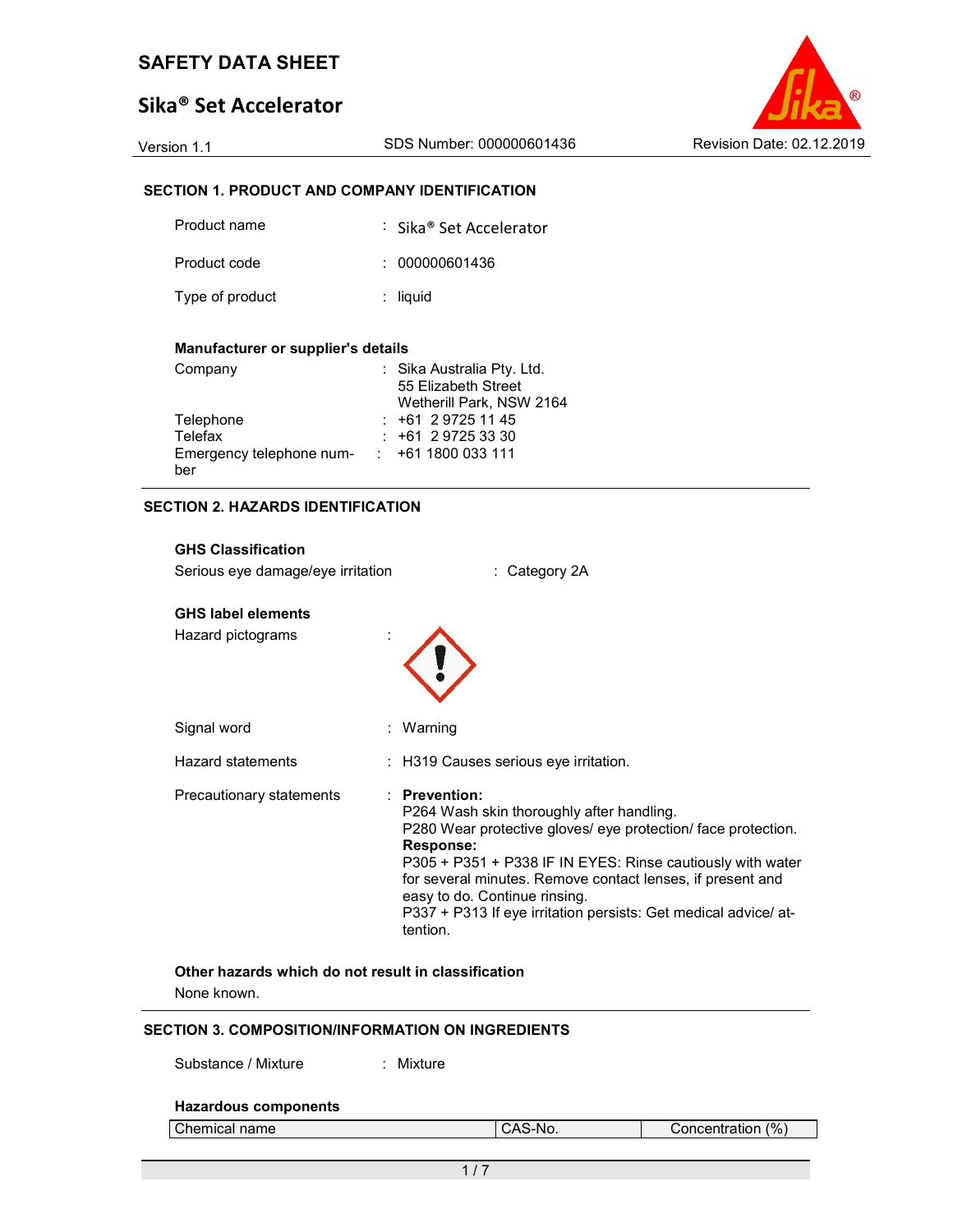# Sika® Set Accelerator

Version 1.1 SDS Number: 000000601436 Revision Date: 02.12.2019

# SECTION 1. PRODUCT AND COMPANY IDENTIFICATION

| Product name    | : Sika® Set Accelerator |
|-----------------|-------------------------|
| Product code    | : 000000601436          |
| Type of product | $:$ liquid              |

#### Manufacturer or supplier's details

| Company                  | : Sika Australia Pty. Ltd. |
|--------------------------|----------------------------|
|                          | 55 Elizabeth Street        |
|                          | Wetherill Park, NSW 2164   |
| Telephone                | $: +61297251145$           |
| Telefax                  | $: +61297253330$           |
| Emergency telephone num- | $: +611800033111$          |
| ber                      |                            |

#### SECTION 2. HAZARDS IDENTIFICATION

# GHS Classification Serious eye damage/eye irritation : Category 2A GHS label elements Hazard pictograms : Signal word : Warning Hazard statements : H319 Causes serious eye irritation. Precautionary statements : Prevention: P264 Wash skin thoroughly after handling. P280 Wear protective gloves/ eye protection/ face protection. Response: P305 + P351 + P338 IF IN EYES: Rinse cautiously with water for several minutes. Remove contact lenses, if present and easy to do. Continue rinsing. P337 + P313 If eye irritation persists: Get medical advice/ attention.

# Other hazards which do not result in classification

None known.

#### SECTION 3. COMPOSITION/INFORMATION ON INGREDIENTS

Substance / Mixture : Mixture

### Hazardous components

| Chemical name | I CAS-No. |
|---------------|-----------|

Concentration (%)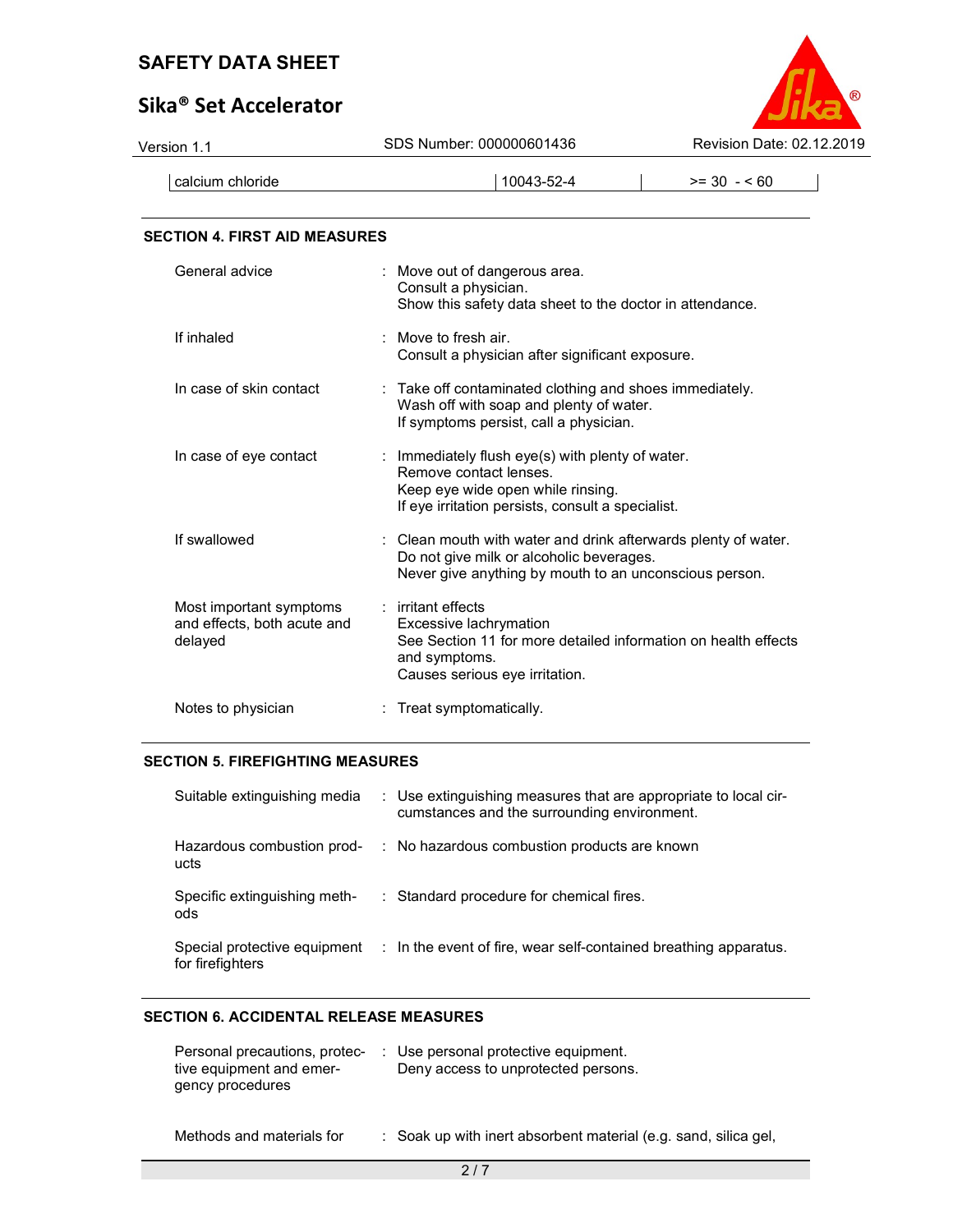# Sika® Set Accelerator



| Version 1.1                                                       | SDS Number: 000000601436<br>Revision Date: 02.12.2019                                                                                                                |              |  |
|-------------------------------------------------------------------|----------------------------------------------------------------------------------------------------------------------------------------------------------------------|--------------|--|
| calcium chloride                                                  | 10043-52-4                                                                                                                                                           | $>= 30 - 60$ |  |
| <b>SECTION 4. FIRST AID MEASURES</b>                              |                                                                                                                                                                      |              |  |
| General advice                                                    | Move out of dangerous area.<br>Consult a physician.<br>Show this safety data sheet to the doctor in attendance.                                                      |              |  |
| If inhaled                                                        | Move to fresh air.<br>Consult a physician after significant exposure.                                                                                                |              |  |
| In case of skin contact                                           | : Take off contaminated clothing and shoes immediately.<br>Wash off with soap and plenty of water.<br>If symptoms persist, call a physician.                         |              |  |
| In case of eye contact                                            | : Immediately flush eye(s) with plenty of water.<br>Remove contact lenses.<br>Keep eye wide open while rinsing.<br>If eye irritation persists, consult a specialist. |              |  |
| If swallowed                                                      | : Clean mouth with water and drink afterwards plenty of water.<br>Do not give milk or alcoholic beverages.<br>Never give anything by mouth to an unconscious person. |              |  |
| Most important symptoms<br>and effects, both acute and<br>delayed | : irritant effects<br>Excessive lachrymation<br>See Section 11 for more detailed information on health effects<br>and evmntome                                       |              |  |

and symptoms. Causes serious eye irritation.

| Notes to physician | : Treat symptomatically. |
|--------------------|--------------------------|
|                    |                          |

## SECTION 5. FIREFIGHTING MEASURES

| Suitable extinguishing media                     | : Use extinguishing measures that are appropriate to local cir-<br>cumstances and the surrounding environment. |
|--------------------------------------------------|----------------------------------------------------------------------------------------------------------------|
| Hazardous combustion prod-<br>ucts               | : No hazardous combustion products are known                                                                   |
| Specific extinguishing meth-<br>ods              | : Standard procedure for chemical fires.                                                                       |
| Special protective equipment<br>for firefighters | : In the event of fire, wear self-contained breathing apparatus.                                               |

# SECTION 6. ACCIDENTAL RELEASE MEASURES

|                          | Personal precautions, protec- : Use personal protective equipment. |
|--------------------------|--------------------------------------------------------------------|
| tive equipment and emer- | Deny access to unprotected persons.                                |
| gency procedures         |                                                                    |
|                          |                                                                    |

Methods and materials for : Soak up with inert absorbent material (e.g. sand, silica gel,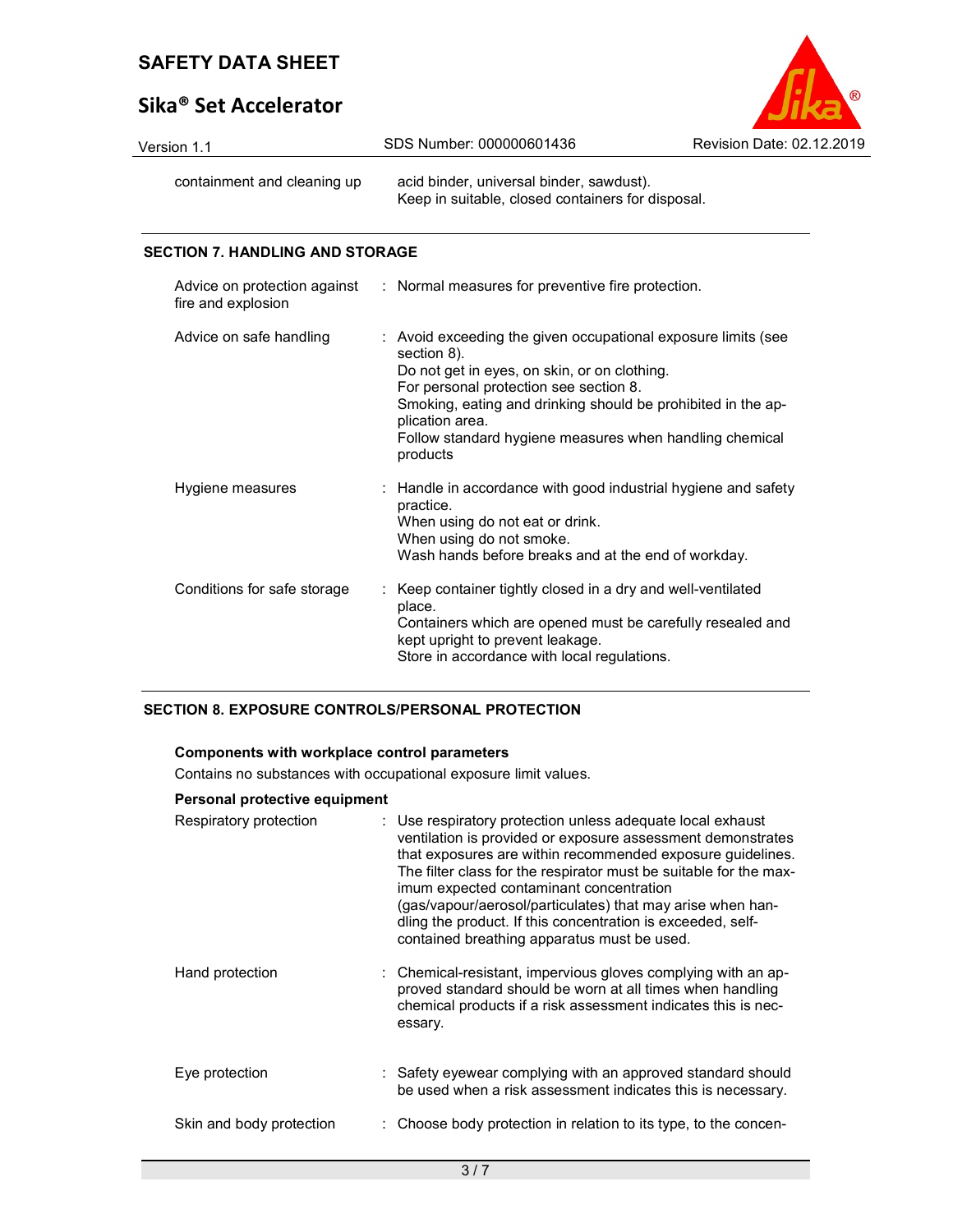# Sika® Set Accelerator



| Version 1.1                 | SDS Number: 000000601436                                                                      | Revision Date: 02.12.2019 |  |
|-----------------------------|-----------------------------------------------------------------------------------------------|---------------------------|--|
| containment and cleaning up | acid binder, universal binder, sawdust).<br>Keep in suitable, closed containers for disposal. |                           |  |

### SECTION 7. HANDLING AND STORAGE

| fire and explosion          | Advice on protection against : Normal measures for preventive fire protection.                                                                                                                                                                                                                                                   |
|-----------------------------|----------------------------------------------------------------------------------------------------------------------------------------------------------------------------------------------------------------------------------------------------------------------------------------------------------------------------------|
| Advice on safe handling     | : Avoid exceeding the given occupational exposure limits (see<br>section 8).<br>Do not get in eyes, on skin, or on clothing.<br>For personal protection see section 8.<br>Smoking, eating and drinking should be prohibited in the ap-<br>plication area.<br>Follow standard hygiene measures when handling chemical<br>products |
| Hygiene measures            | : Handle in accordance with good industrial hygiene and safety<br>practice.<br>When using do not eat or drink.<br>When using do not smoke.<br>Wash hands before breaks and at the end of workday.                                                                                                                                |
| Conditions for safe storage | : Keep container tightly closed in a dry and well-ventilated<br>place.<br>Containers which are opened must be carefully resealed and<br>kept upright to prevent leakage.<br>Store in accordance with local regulations.                                                                                                          |

## SECTION 8. EXPOSURE CONTROLS/PERSONAL PROTECTION

### Components with workplace control parameters

Contains no substances with occupational exposure limit values.

### Personal protective equipment

| Respiratory protection   | : Use respiratory protection unless adequate local exhaust<br>ventilation is provided or exposure assessment demonstrates<br>that exposures are within recommended exposure quidelines.<br>The filter class for the respirator must be suitable for the max-<br>imum expected contaminant concentration<br>(gas/vapour/aerosol/particulates) that may arise when han-<br>dling the product. If this concentration is exceeded, self-<br>contained breathing apparatus must be used. |
|--------------------------|-------------------------------------------------------------------------------------------------------------------------------------------------------------------------------------------------------------------------------------------------------------------------------------------------------------------------------------------------------------------------------------------------------------------------------------------------------------------------------------|
| Hand protection          | : Chemical-resistant, impervious gloves complying with an ap-<br>proved standard should be worn at all times when handling<br>chemical products if a risk assessment indicates this is nec-<br>essary.                                                                                                                                                                                                                                                                              |
| Eye protection           | : Safety eyewear complying with an approved standard should<br>be used when a risk assessment indicates this is necessary.                                                                                                                                                                                                                                                                                                                                                          |
| Skin and body protection | : Choose body protection in relation to its type, to the concen-                                                                                                                                                                                                                                                                                                                                                                                                                    |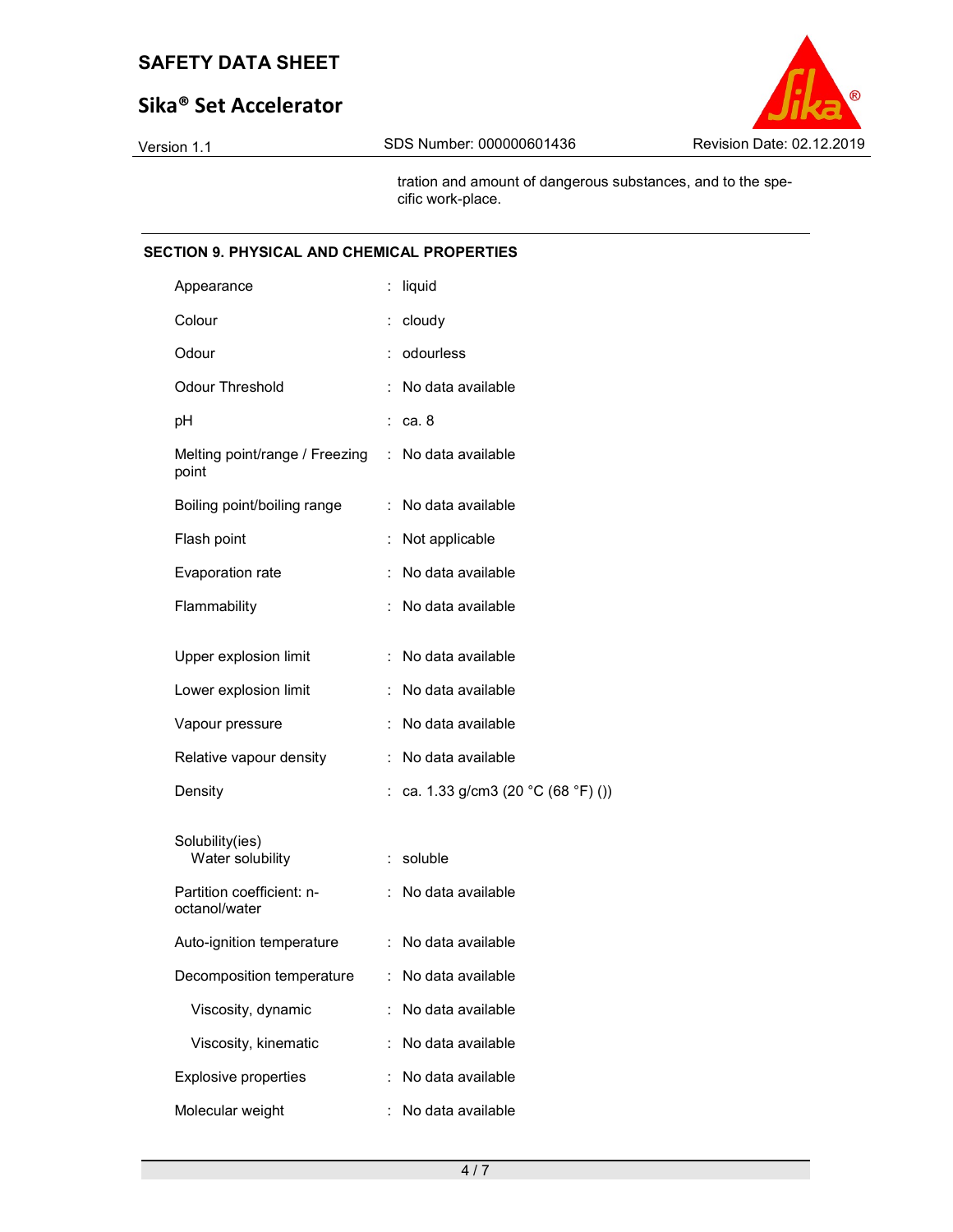# Sika® Set Accelerator



 tration and amount of dangerous substances, and to the specific work-place.

### SECTION 9. PHYSICAL AND CHEMICAL PROPERTIES

| Appearance                                 |    | liquid                            |
|--------------------------------------------|----|-----------------------------------|
| Colour                                     | ÷. | cloudy                            |
| Odour                                      |    | odourless                         |
| <b>Odour Threshold</b>                     |    | No data available                 |
| рH                                         |    | ca. 8                             |
| Melting point/range / Freezing<br>point    | ÷  | No data available                 |
| Boiling point/boiling range                | ÷  | No data available                 |
| Flash point                                | t. | Not applicable                    |
| Evaporation rate                           |    | No data available                 |
| Flammability                               | ÷  | No data available                 |
| Upper explosion limit                      | ÷  | No data available                 |
| Lower explosion limit                      | ÷. | No data available                 |
| Vapour pressure                            |    | No data available                 |
| Relative vapour density                    |    | No data available                 |
| Density                                    |    | ca. 1.33 g/cm3 (20 °C (68 °F) ()) |
| Solubility(ies)<br>Water solubility        | ÷. | soluble                           |
| Partition coefficient: n-<br>octanol/water | ÷. | No data available                 |
| Auto-ignition temperature                  |    | No data available                 |
| Decomposition temperature                  |    | No data available                 |
| Viscosity, dynamic                         |    | No data available                 |
| Viscosity, kinematic                       |    | No data available                 |
| <b>Explosive properties</b>                | İ. | No data available                 |
| Molecular weight                           |    | No data available                 |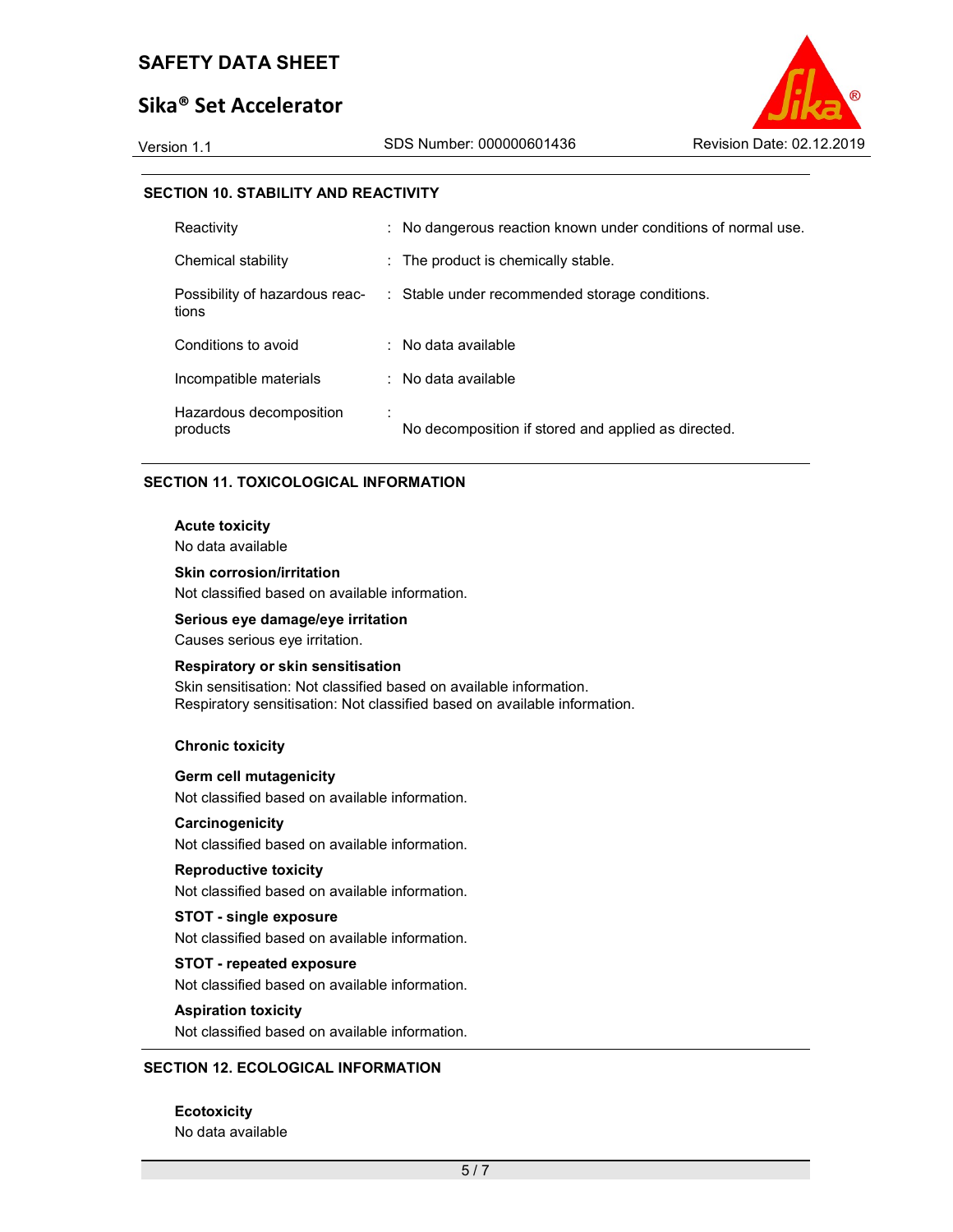# Sika® Set Accelerator

Version 1.1 SDS Number: 000000601436 Revision Date: 02.12.2019

### SECTION 10. STABILITY AND REACTIVITY

| Reactivity                          | : No dangerous reaction known under conditions of normal use.                 |
|-------------------------------------|-------------------------------------------------------------------------------|
| Chemical stability                  | : The product is chemically stable.                                           |
| tions                               | Possibility of hazardous reac- : Stable under recommended storage conditions. |
| Conditions to avoid                 | $:$ No data available                                                         |
| Incompatible materials              | $:$ No data available                                                         |
| Hazardous decomposition<br>products | No decomposition if stored and applied as directed.                           |

### SECTION 11. TOXICOLOGICAL INFORMATION

#### Acute toxicity

No data available

#### Skin corrosion/irritation

Not classified based on available information.

#### Serious eye damage/eye irritation

Causes serious eye irritation.

#### Respiratory or skin sensitisation

Skin sensitisation: Not classified based on available information. Respiratory sensitisation: Not classified based on available information.

#### Chronic toxicity

#### Germ cell mutagenicity

Not classified based on available information.

#### **Carcinogenicity**

Not classified based on available information.

#### Reproductive toxicity

Not classified based on available information.

# STOT - single exposure

Not classified based on available information.

#### STOT - repeated exposure

Not classified based on available information.

#### Aspiration toxicity

Not classified based on available information.

### SECTION 12. ECOLOGICAL INFORMATION

**Ecotoxicity** No data available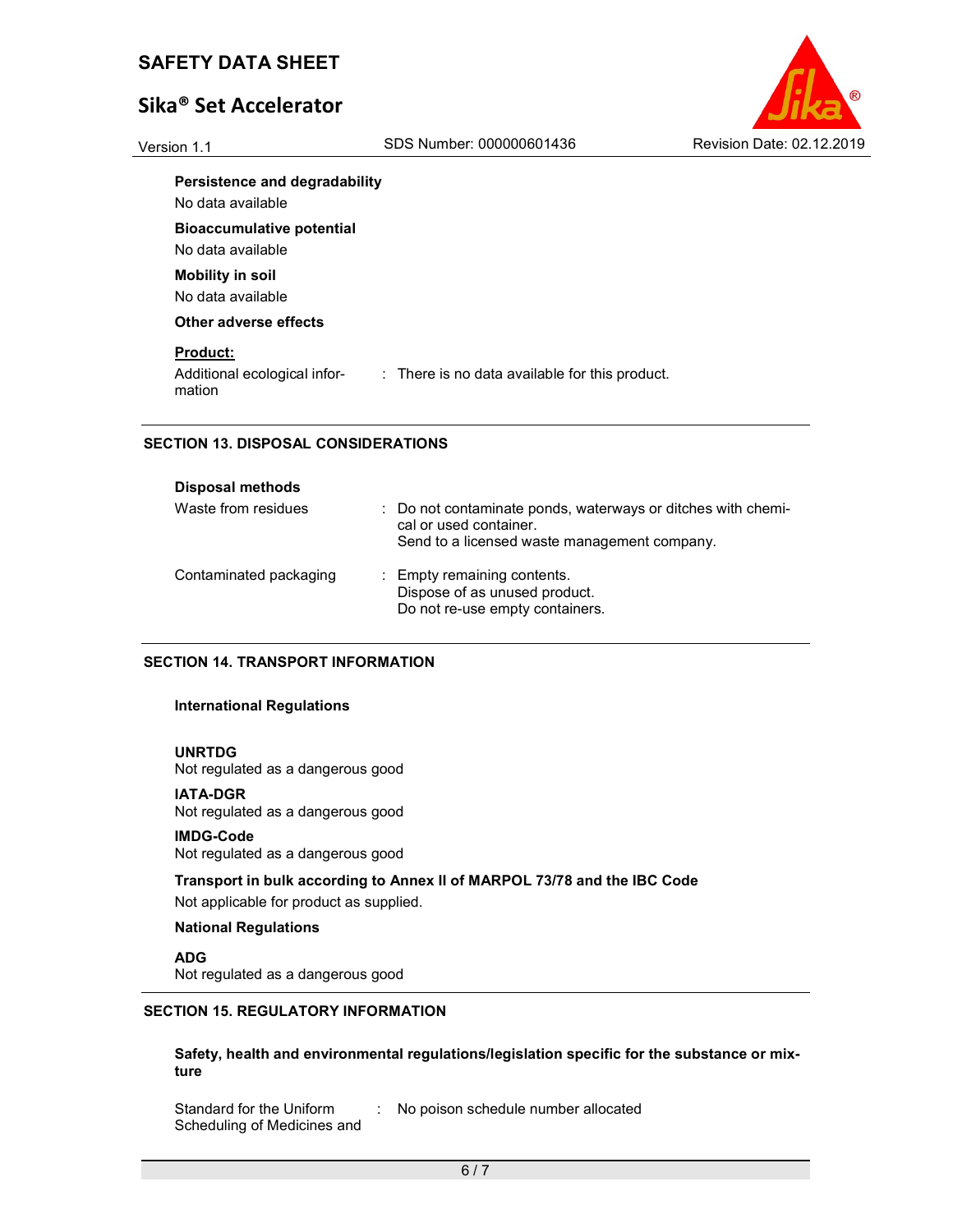# Sika® Set Accelerator



#### Persistence and degradability

No data available

Bioaccumulative potential

No data available

Mobility in soil No data available

Other adverse effects

### Product:

Additional ecological information

: There is no data available for this product.

## SECTION 13. DISPOSAL CONSIDERATIONS

| <b>Disposal methods</b> |                                                                                                                                        |
|-------------------------|----------------------------------------------------------------------------------------------------------------------------------------|
| Waste from residues     | : Do not contaminate ponds, waterways or ditches with chemi-<br>cal or used container.<br>Send to a licensed waste management company. |
| Contaminated packaging  | : Empty remaining contents.<br>Dispose of as unused product.<br>Do not re-use empty containers.                                        |

## SECTION 14. TRANSPORT INFORMATION

### International Regulations

#### UNRTDG

Not regulated as a dangerous good

#### IATA-DGR

Not regulated as a dangerous good

#### IMDG-Code

Not regulated as a dangerous good

Transport in bulk according to Annex II of MARPOL 73/78 and the IBC Code Not applicable for product as supplied.

### National Regulations

ADG

Not regulated as a dangerous good

### SECTION 15. REGULATORY INFORMATION

Safety, health and environmental regulations/legislation specific for the substance or mixture

Standard for the Uniform Scheduling of Medicines and : No poison schedule number allocated